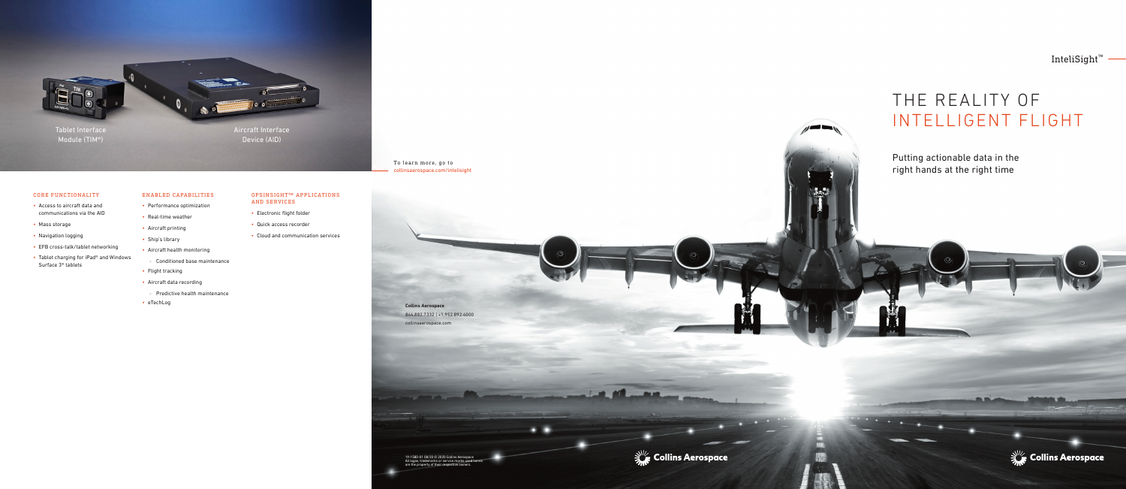# THE REALITY OF INTELLIGENT FLIGHT

Putting actionable data in the right hands at the right time

 $\sim$ 

**Contract Contract** 





InteliSight™

19-1580-01 08/20 © 2020 Collins Aerospace All logos, trademarks or service marks used herein are the property of their respective owners.

**Collins Aerospace** 844.882.7332 | +1.952.892.4000 collinsaerospace.com

To learn more, go to collinsaerospace.com/intelisight

Aircraft Interface Device (AID)

Tablet Interface Module (TIM®)

# CORE FUNCTIONALITY

- Access to aircraft data and communications via the AID
- Mass storage
- Navigation logging
- EFB cross-talk/tablet networking
- Tablet charging for iPad® and Windows Surface 3® tablets

# ENABLED CAPABILITIES

- Performance optimization
- Real-time weather
- Aircraft printing
- Ship's library
- Aircraft health monitoring
- Conditioned base maintenance
- Flight tracking
- Aircraft data recording
- Predictive health maintenance
- eTechLog

OPSINSIGHT™ APPLICATIONS

AND SERVICES

• Electronic flight folder • Quick access recorder

• Cloud and communication services